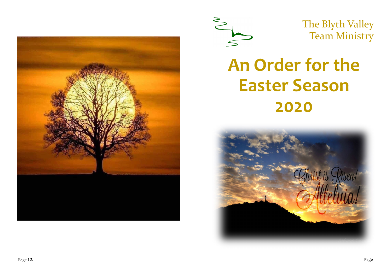



The Blyth Valley Team Ministry

# **An Order for the Easter Season 2020**

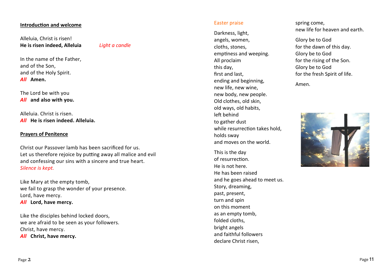#### **Introduction and welcome**

Alleluia, Christ is risen! **He is risen indeed, Alleluia** *Light a candle*

In the name of the Father, and of the Son, and of the Holy Spirit. *All* **Amen.**

The Lord be with you *All* **and also with you.**

Alleluia. Christ is risen. *All* **He is risen indeed. Alleluia.**

## **Prayers of Penitence**

Christ our Passover lamb has been sacrificed for us. Let us therefore rejoice by putting away all malice and evil and confessing our sins with a sincere and true heart. *Silence is kept.*

Like Mary at the empty tomb, we fail to grasp the wonder of your presence. Lord, have mercy. *All* **Lord, have mercy.**

Like the disciples behind locked doors, we are afraid to be seen as your followers. Christ, have mercy. *All* **Christ, have mercy.**

#### Easter praise

Darkness, light, angels, women, cloths, stones, emptiness and weeping. All proclaim this day, first and last, ending and beginning, new life, new wine, new body, new people. Old clothes, old skin, old ways, old habits, left behind to gather dust while resurrection takes hold. holds sway and moves on the world.

This is the day of resurrection. He is not here. He has been raised and he goes ahead to meet us. Story, dreaming, past, present, turn and spin on this moment as an empty tomb, folded cloths, bright angels and faithful followers declare Christ risen,

spring come, new life for heaven and earth.

Glory be to God for the dawn of this day. Glory be to God for the rising of the Son. Glory be to God for the fresh Spirit of life.

Amen.

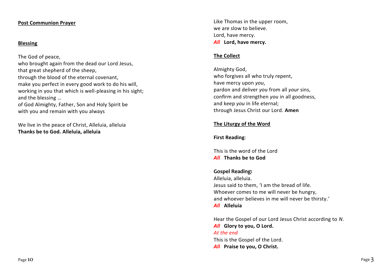### **Post Communion Prayer**

## **Blessing**

The God of peace,

who brought again from the dead our Lord Jesus, that great shepherd of the sheep, through the blood of the eternal covenant, make you perfect in every good work to do his will, working in you that which is well-pleasing in his sight; and the blessing …

of God Almighty, Father, Son and Holy Spirit be with you and remain with you always

We live in the peace of Christ, Alleluia, alleluia **Thanks be to God. Alleluia, alleluia**

Like Thomas in the upper room, we are slow to believe. Lord, have mercy. *All* **Lord, have mercy.**

## **The Collect**

Almighty God, who forgives all who truly repent, have mercy upon *you*, pardon and deliver *you* from all *your* sins, confirm and strengthen *you* in all goodness, and keep *you* in life eternal; through Jesus Christ our Lord. **Amen**

## **The Liturgy of the Word**

**First Reading**:

This is the word of the Lord *All* **Thanks be to God**

# **Gospel Reading:**

Alleluia, alleluia. Jesus said to them, 'I am the bread of life. Whoever comes to me will never be hungry, and whoever believes in me will never be thirsty.' *All* **Alleluia**

Hear the Gospel of our Lord Jesus Christ according to *N*. *All* **Glory to you, O Lord.** *At the end* This is the Gospel of the Lord. *All* **Praise to you, O Christ.**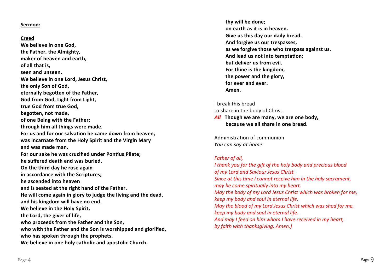#### **Sermon:**

#### **Creed**

**We believe in one God, the Father, the Almighty, maker of heaven and earth, of all that is, seen and unseen. We believe in one Lord, Jesus Christ, the only Son of God, eternally begotten of the Father, God from God, Light from Light, true God from true God, begotten, not made, of one Being with the Father; through him all things were made. For us and for our salvation he came down from heaven, was incarnate from the Holy Spirit and the Virgin Mary and was made man. For our sake he was crucified under Pontius Pilate; he suffered death and was buried. On the third day he rose again in accordance with the Scriptures; he ascended into heaven and is seated at the right hand of the Father. He will come again in glory to judge the living and the dead, and his kingdom will have no end. We believe in the Holy Spirit, the Lord, the giver of life, who proceeds from the Father and the Son, who with the Father and the Son is worshipped and glorified, who has spoken through the prophets. We believe in one holy catholic and apostolic Church.**

**thy will be done; on earth as it is in heaven. Give us this day our daily bread. And forgive us our trespasses, as we forgive those who trespass against us. And lead us not into temptation; but deliver us from evil. For thine is the kingdom, the power and the glory, for ever and ever. Amen.**

I break this bread to share in the body of Christ.

*All* **Though we are many, we are one body, because we all share in one bread.**

Administration of communion *You can say at home:*

#### *Father of all,*

*I thank you for the gift of the holy body and precious blood of my Lord and Saviour Jesus Christ. Since at this time I cannot receive him in the holy sacrament, may he come spiritually into my heart. May the body of my Lord Jesus Christ which was broken for me, keep my body and soul in eternal life. May the blood of my Lord Jesus Christ which was shed for me, keep my body and soul in eternal life. And may I feed on him whom I have received in my heart, by faith with thanksgiving. Amen.)*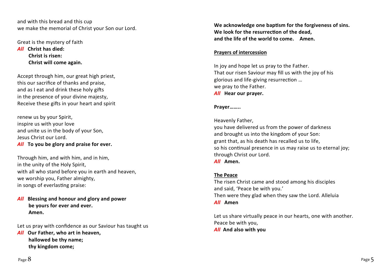and with this bread and this cup we make the memorial of Christ your Son our Lord.

Great is the mystery of faith *All* **Christ has died: Christ is risen: Christ will come again.**

Accept through him, our great high priest, this our sacrifice of thanks and praise, and as I eat and drink these holy gifts in the presence of your divine majesty, Receive these gifts in your heart and spirit

renew us by your Spirit, inspire us with your love and unite us in the body of your Son, Jesus Christ our Lord. *All* **To you be glory and praise for ever.**

Through him, and with him, and in him, in the unity of the Holy Spirit, with all who stand before you in earth and heaven, we worship you, Father almighty, in songs of everlasting praise:

*All* **Blessing and honour and glory and power be yours for ever and ever. Amen.**

Let us pray with confidence as our Saviour has taught us

*All* **Our Father, who art in heaven, hallowed be thy name; thy kingdom come;**

**We acknowledge one baptism for the forgiveness of sins. We look for the resurrection of the dead, and the life of the world to come. Amen.**

# **Prayers of intercession**

In joy and hope let us pray to the Father. That our risen Saviour may fill us with the joy of his glorious and life -giving resurrection … we pray to the Father. *All* **Hear our prayer.**

## **Prayer……..**

Heavenly Father,

you have delivered us from the power of darkness and brought us into the kingdom of your Son: grant that, as his death has recalled us to life, so his continual presence in us may raise us to eternal joy; through Christ our Lord.

*All* **Amen.**

# **The Peace**

The risen Christ came and stood among his disciples and said, 'Peace be with you. ' Then were they glad when they saw the Lord. Alleluia *All* **Amen**

Let us share virtually peace in our hearts, one with another. Peace be with you, *All* **And also with you**